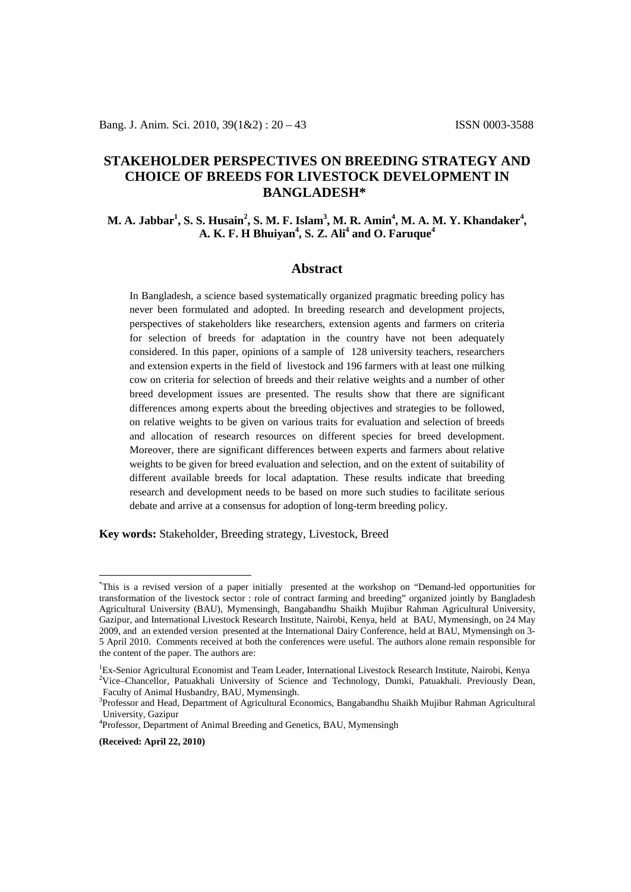# **STAKEHOLDER PERSPECTIVES ON BREEDING STRATEGY AND CHOICE OF BREEDS FOR LIVESTOCK DEVELOPMENT IN BANGLADESH\*[1](#page-0-0)**

## **M. A. Jabbar1 , S. S. Husain2 , S. M. F. Islam3 , M. R. Amin4 , M. A. M. Y. Khandaker4 ,**  $\mathbf{A}$ . **K. F. H** Bhuiyan $^4$ , S. Z. Ali $^4$  and O. Faruque $^4$

### **Abstract**

In Bangladesh, a science based systematically organized pragmatic breeding policy has never been formulated and adopted. In breeding research and development projects, perspectives of stakeholders like researchers, extension agents and farmers on criteria for selection of breeds for adaptation in the country have not been adequately considered. In this paper, opinions of a sample of 128 university teachers, researchers and extension experts in the field of livestock and 196 farmers with at least one milking cow on criteria for selection of breeds and their relative weights and a number of other breed development issues are presented. The results show that there are significant differences among experts about the breeding objectives and strategies to be followed, on relative weights to be given on various traits for evaluation and selection of breeds and allocation of research resources on different species for breed development. Moreover, there are significant differences between experts and farmers about relative weights to be given for breed evaluation and selection, and on the extent of suitability of different available breeds for local adaptation. These results indicate that breeding research and development needs to be based on more such studies to facilitate serious debate and arrive at a consensus for adoption of long-term breeding policy.

**Key words:** Stakeholder, Breeding strategy, Livestock, Breed

<span id="page-0-0"></span> <sup>\*</sup> This is a revised version of a paper initially presented at the workshop on "Demand-led opportunities for transformation of the livestock sector : role of contract farming and breeding" organized jointly by Bangladesh Agricultural University (BAU), Mymensingh, Bangabandhu Shaikh Mujibur Rahman Agricultural University, Gazipur, and International Livestock Research Institute, Nairobi, Kenya, held at BAU, Mymensingh, on 24 May 2009, and an extended version presented at the International Dairy Conference, held at BAU, Mymensingh on 3- 5 April 2010. Comments received at both the conferences were useful. The authors alone remain responsible for the content of the paper. The authors are:

<sup>&</sup>lt;sup>1</sup>Ex-Senior Agricultural Economist and Team Leader, International Livestock Research Institute, Nairobi, Kenya<br><sup>2</sup>Vice Chancellor, Patuakhali, University of Science and Technology, Dumki, Patuakhali, Praviously Dean <sup>2</sup>Vice–Chancellor, Patuakhali University of Science and Technology, Dumki, Patuakhali. Previously Dean, Faculty of Animal Husbandry, BAU, Mymensingh.

<sup>&</sup>lt;sup>3</sup>Professor and Head, Department of Agricultural Economics, Bangabandhu Shaikh Mujibur Rahman Agricultural University, Gazipur

<sup>&</sup>lt;sup>4</sup>Professor, Department of Animal Breeding and Genetics, BAU, Mymensingh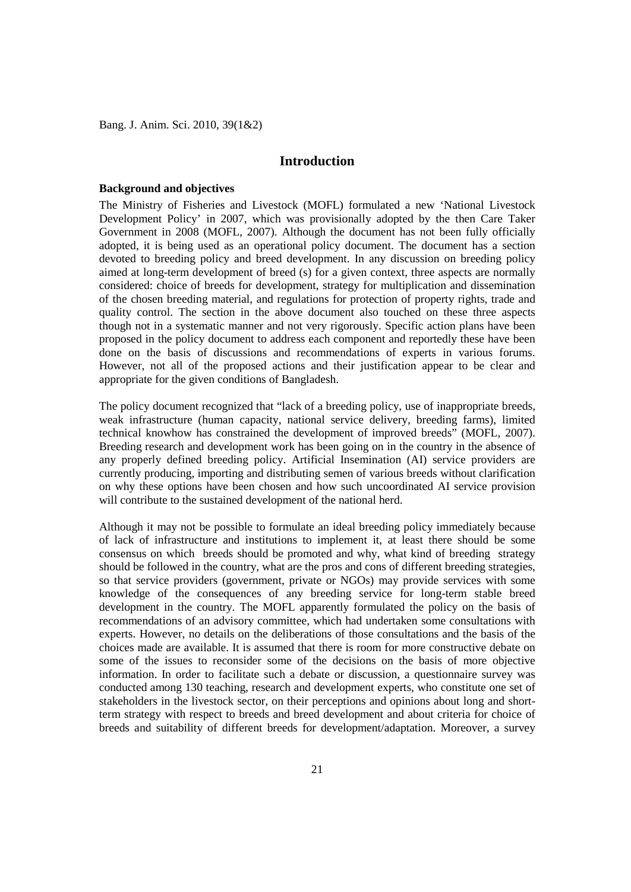## **Introduction**

#### **Background and objectives**

The Ministry of Fisheries and Livestock (MOFL) formulated a new 'National Livestock Development Policy' in 2007, which was provisionally adopted by the then Care Taker Government in 2008 (MOFL, 2007). Although the document has not been fully officially adopted, it is being used as an operational policy document. The document has a section devoted to breeding policy and breed development. In any discussion on breeding policy aimed at long-term development of breed (s) for a given context, three aspects are normally considered: choice of breeds for development, strategy for multiplication and dissemination of the chosen breeding material, and regulations for protection of property rights, trade and quality control. The section in the above document also touched on these three aspects though not in a systematic manner and not very rigorously. Specific action plans have been proposed in the policy document to address each component and reportedly these have been done on the basis of discussions and recommendations of experts in various forums. However, not all of the proposed actions and their justification appear to be clear and appropriate for the given conditions of Bangladesh.

The policy document recognized that "lack of a breeding policy, use of inappropriate breeds, weak infrastructure (human capacity, national service delivery, breeding farms), limited technical knowhow has constrained the development of improved breeds" (MOFL, 2007). Breeding research and development work has been going on in the country in the absence of any properly defined breeding policy. Artificial Insemination (AI) service providers are currently producing, importing and distributing semen of various breeds without clarification on why these options have been chosen and how such uncoordinated AI service provision will contribute to the sustained development of the national herd.

Although it may not be possible to formulate an ideal breeding policy immediately because of lack of infrastructure and institutions to implement it, at least there should be some consensus on which breeds should be promoted and why, what kind of breeding strategy should be followed in the country, what are the pros and cons of different breeding strategies, so that service providers (government, private or NGOs) may provide services with some knowledge of the consequences of any breeding service for long-term stable breed development in the country. The MOFL apparently formulated the policy on the basis of recommendations of an advisory committee, which had undertaken some consultations with experts. However, no details on the deliberations of those consultations and the basis of the choices made are available. It is assumed that there is room for more constructive debate on some of the issues to reconsider some of the decisions on the basis of more objective information. In order to facilitate such a debate or discussion, a questionnaire survey was conducted among 130 teaching, research and development experts, who constitute one set of stakeholders in the livestock sector, on their perceptions and opinions about long and shortterm strategy with respect to breeds and breed development and about criteria for choice of breeds and suitability of different breeds for development/adaptation. Moreover, a survey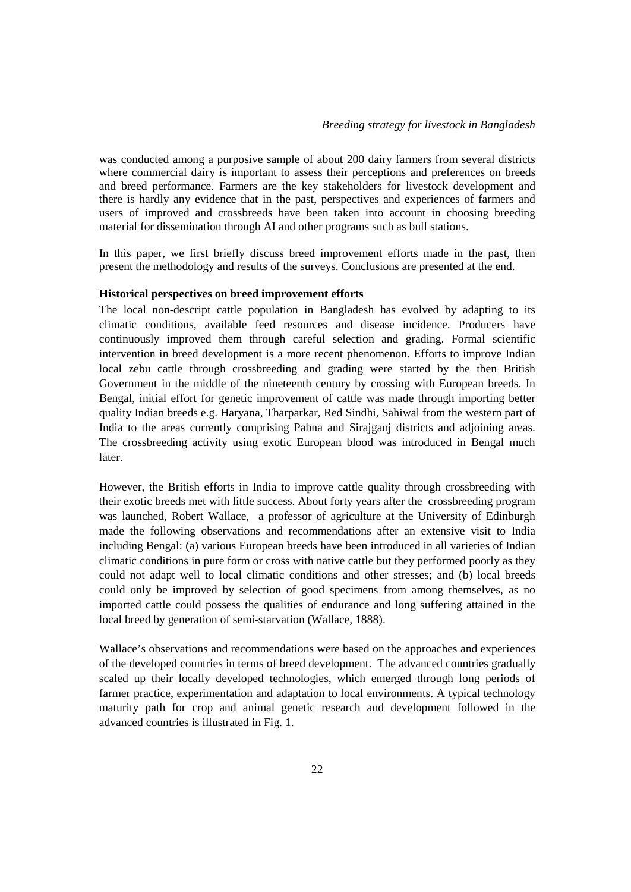was conducted among a purposive sample of about 200 dairy farmers from several districts where commercial dairy is important to assess their perceptions and preferences on breeds and breed performance. Farmers are the key stakeholders for livestock development and there is hardly any evidence that in the past, perspectives and experiences of farmers and users of improved and crossbreeds have been taken into account in choosing breeding material for dissemination through AI and other programs such as bull stations.

In this paper, we first briefly discuss breed improvement efforts made in the past, then present the methodology and results of the surveys. Conclusions are presented at the end.

### **Historical perspectives on breed improvement efforts**

The local non-descript cattle population in Bangladesh has evolved by adapting to its climatic conditions, available feed resources and disease incidence. Producers have continuously improved them through careful selection and grading. Formal scientific intervention in breed development is a more recent phenomenon. Efforts to improve Indian local zebu cattle through crossbreeding and grading were started by the then British Government in the middle of the nineteenth century by crossing with European breeds. In Bengal, initial effort for genetic improvement of cattle was made through importing better quality Indian breeds e.g. Haryana, Tharparkar, Red Sindhi, Sahiwal from the western part of India to the areas currently comprising Pabna and Sirajganj districts and adjoining areas. The crossbreeding activity using exotic European blood was introduced in Bengal much later.

However, the British efforts in India to improve cattle quality through crossbreeding with their exotic breeds met with little success. About forty years after the crossbreeding program was launched, Robert Wallace, a professor of agriculture at the University of Edinburgh made the following observations and recommendations after an extensive visit to India including Bengal: (a) various European breeds have been introduced in all varieties of Indian climatic conditions in pure form or cross with native cattle but they performed poorly as they could not adapt well to local climatic conditions and other stresses; and (b) local breeds could only be improved by selection of good specimens from among themselves, as no imported cattle could possess the qualities of endurance and long suffering attained in the local breed by generation of semi-starvation (Wallace, 1888).

Wallace's observations and recommendations were based on the approaches and experiences of the developed countries in terms of breed development. The advanced countries gradually scaled up their locally developed technologies, which emerged through long periods of farmer practice, experimentation and adaptation to local environments. A typical technology maturity path for crop and animal genetic research and development followed in the advanced countries is illustrated in Fig. 1.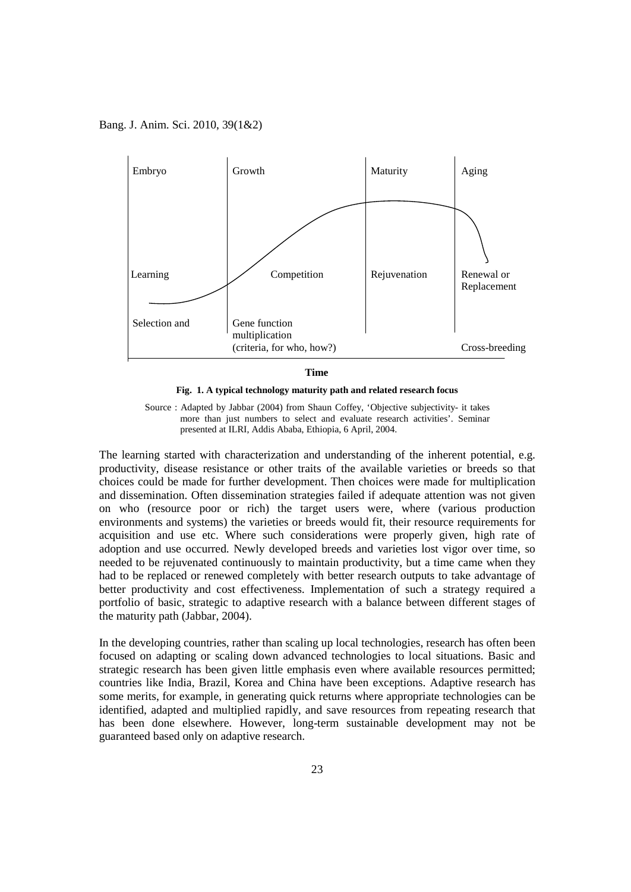





The learning started with characterization and understanding of the inherent potential, e.g. productivity, disease resistance or other traits of the available varieties or breeds so that choices could be made for further development. Then choices were made for multiplication and dissemination. Often dissemination strategies failed if adequate attention was not given on who (resource poor or rich) the target users were, where (various production environments and systems) the varieties or breeds would fit, their resource requirements for acquisition and use etc. Where such considerations were properly given, high rate of adoption and use occurred. Newly developed breeds and varieties lost vigor over time, so needed to be rejuvenated continuously to maintain productivity, but a time came when they had to be replaced or renewed completely with better research outputs to take advantage of better productivity and cost effectiveness. Implementation of such a strategy required a portfolio of basic, strategic to adaptive research with a balance between different stages of the maturity path (Jabbar, 2004).

In the developing countries, rather than scaling up local technologies, research has often been focused on adapting or scaling down advanced technologies to local situations. Basic and strategic research has been given little emphasis even where available resources permitted; countries like India, Brazil, Korea and China have been exceptions. Adaptive research has some merits, for example, in generating quick returns where appropriate technologies can be identified, adapted and multiplied rapidly, and save resources from repeating research that has been done elsewhere. However, long-term sustainable development may not be guaranteed based only on adaptive research.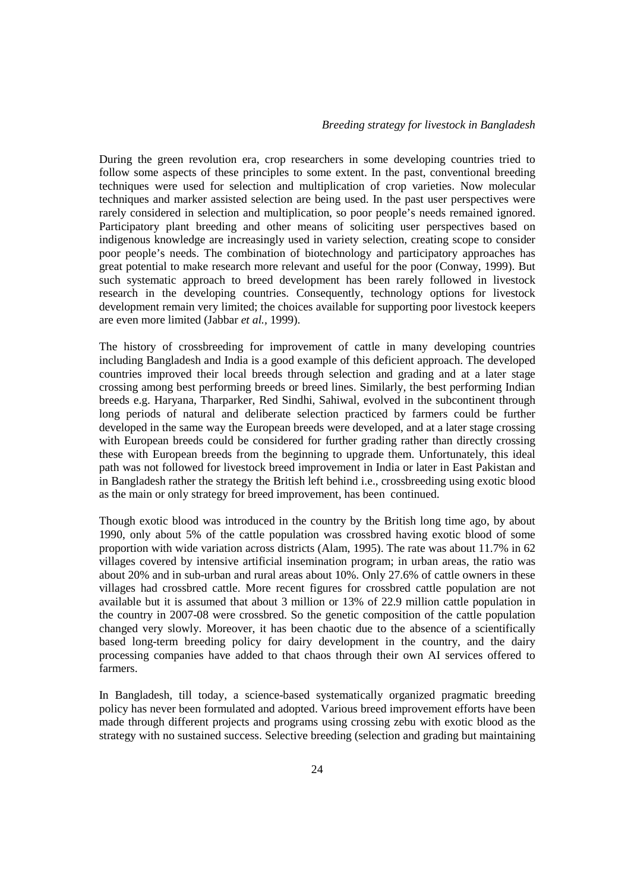During the green revolution era, crop researchers in some developing countries tried to follow some aspects of these principles to some extent. In the past, conventional breeding techniques were used for selection and multiplication of crop varieties. Now molecular techniques and marker assisted selection are being used. In the past user perspectives were rarely considered in selection and multiplication, so poor people's needs remained ignored. Participatory plant breeding and other means of soliciting user perspectives based on indigenous knowledge are increasingly used in variety selection, creating scope to consider poor people's needs. The combination of biotechnology and participatory approaches has great potential to make research more relevant and useful for the poor (Conway, 1999). But such systematic approach to breed development has been rarely followed in livestock research in the developing countries. Consequently, technology options for livestock development remain very limited; the choices available for supporting poor livestock keepers are even more limited (Jabbar *et al.,* 1999).

The history of crossbreeding for improvement of cattle in many developing countries including Bangladesh and India is a good example of this deficient approach. The developed countries improved their local breeds through selection and grading and at a later stage crossing among best performing breeds or breed lines. Similarly, the best performing Indian breeds e.g. Haryana, Tharparker, Red Sindhi, Sahiwal, evolved in the subcontinent through long periods of natural and deliberate selection practiced by farmers could be further developed in the same way the European breeds were developed, and at a later stage crossing with European breeds could be considered for further grading rather than directly crossing these with European breeds from the beginning to upgrade them. Unfortunately, this ideal path was not followed for livestock breed improvement in India or later in East Pakistan and in Bangladesh rather the strategy the British left behind i.e., crossbreeding using exotic blood as the main or only strategy for breed improvement, has been continued.

Though exotic blood was introduced in the country by the British long time ago, by about 1990, only about 5% of the cattle population was crossbred having exotic blood of some proportion with wide variation across districts (Alam, 1995). The rate was about 11.7% in 62 villages covered by intensive artificial insemination program; in urban areas, the ratio was about 20% and in sub-urban and rural areas about 10%. Only 27.6% of cattle owners in these villages had crossbred cattle. More recent figures for crossbred cattle population are not available but it is assumed that about 3 million or 13% of 22.9 million cattle population in the country in 2007-08 were crossbred. So the genetic composition of the cattle population changed very slowly. Moreover, it has been chaotic due to the absence of a scientifically based long-term breeding policy for dairy development in the country, and the dairy processing companies have added to that chaos through their own AI services offered to farmers.

In Bangladesh, till today, a science-based systematically organized pragmatic breeding policy has never been formulated and adopted. Various breed improvement efforts have been made through different projects and programs using crossing zebu with exotic blood as the strategy with no sustained success. Selective breeding (selection and grading but maintaining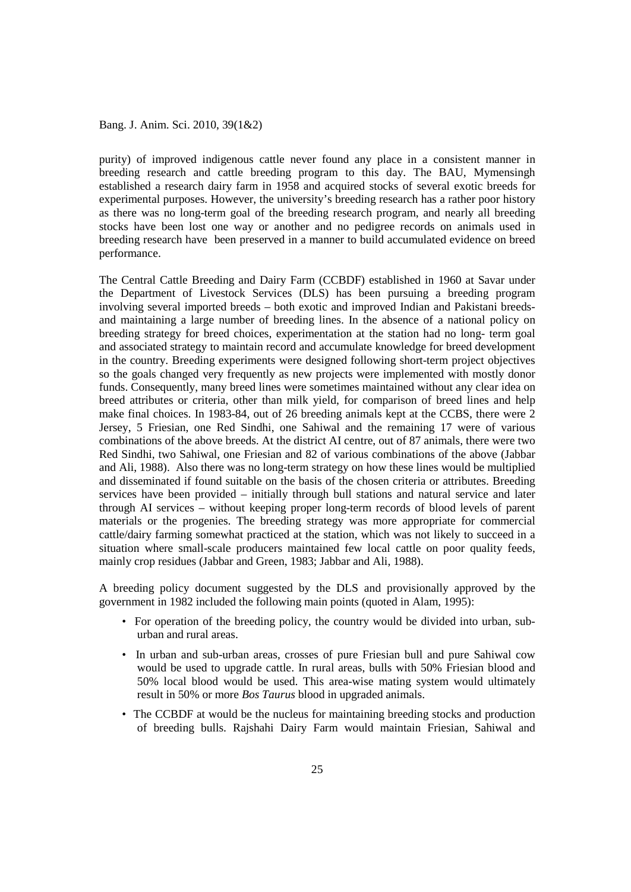purity) of improved indigenous cattle never found any place in a consistent manner in breeding research and cattle breeding program to this day. The BAU, Mymensingh established a research dairy farm in 1958 and acquired stocks of several exotic breeds for experimental purposes. However, the university's breeding research has a rather poor history as there was no long-term goal of the breeding research program, and nearly all breeding stocks have been lost one way or another and no pedigree records on animals used in breeding research have been preserved in a manner to build accumulated evidence on breed performance.

The Central Cattle Breeding and Dairy Farm (CCBDF) established in 1960 at Savar under the Department of Livestock Services (DLS) has been pursuing a breeding program involving several imported breeds – both exotic and improved Indian and Pakistani breedsand maintaining a large number of breeding lines. In the absence of a national policy on breeding strategy for breed choices, experimentation at the station had no long- term goal and associated strategy to maintain record and accumulate knowledge for breed development in the country. Breeding experiments were designed following short-term project objectives so the goals changed very frequently as new projects were implemented with mostly donor funds. Consequently, many breed lines were sometimes maintained without any clear idea on breed attributes or criteria, other than milk yield, for comparison of breed lines and help make final choices. In 1983-84, out of 26 breeding animals kept at the CCBS, there were 2 Jersey, 5 Friesian, one Red Sindhi, one Sahiwal and the remaining 17 were of various combinations of the above breeds. At the district AI centre, out of 87 animals, there were two Red Sindhi, two Sahiwal, one Friesian and 82 of various combinations of the above (Jabbar and Ali, 1988). Also there was no long-term strategy on how these lines would be multiplied and disseminated if found suitable on the basis of the chosen criteria or attributes. Breeding services have been provided – initially through bull stations and natural service and later through AI services – without keeping proper long-term records of blood levels of parent materials or the progenies. The breeding strategy was more appropriate for commercial cattle/dairy farming somewhat practiced at the station, which was not likely to succeed in a situation where small-scale producers maintained few local cattle on poor quality feeds, mainly crop residues (Jabbar and Green, 1983; Jabbar and Ali, 1988).

A breeding policy document suggested by the DLS and provisionally approved by the government in 1982 included the following main points (quoted in Alam, 1995):

- For operation of the breeding policy, the country would be divided into urban, suburban and rural areas.
- In urban and sub-urban areas, crosses of pure Friesian bull and pure Sahiwal cow would be used to upgrade cattle. In rural areas, bulls with 50% Friesian blood and 50% local blood would be used. This area-wise mating system would ultimately result in 50% or more *Bos Taurus* blood in upgraded animals.
- The CCBDF at would be the nucleus for maintaining breeding stocks and production of breeding bulls. Rajshahi Dairy Farm would maintain Friesian, Sahiwal and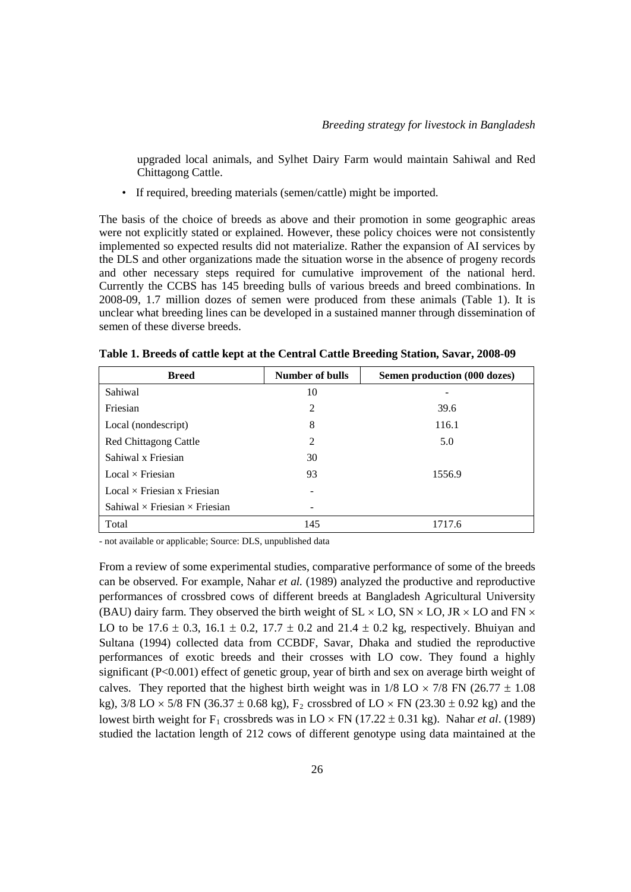upgraded local animals, and Sylhet Dairy Farm would maintain Sahiwal and Red Chittagong Cattle.

• If required, breeding materials (semen/cattle) might be imported.

The basis of the choice of breeds as above and their promotion in some geographic areas were not explicitly stated or explained. However, these policy choices were not consistently implemented so expected results did not materialize. Rather the expansion of AI services by the DLS and other organizations made the situation worse in the absence of progeny records and other necessary steps required for cumulative improvement of the national herd. Currently the CCBS has 145 breeding bulls of various breeds and breed combinations. In 2008-09, 1.7 million dozes of semen were produced from these animals (Table 1). It is unclear what breeding lines can be developed in a sustained manner through dissemination of semen of these diverse breeds.

| <b>Breed</b>                                | Number of bulls | Semen production (000 dozes) |
|---------------------------------------------|-----------------|------------------------------|
| Sahiwal                                     | 10              |                              |
| Friesian                                    | 2               | 39.6                         |
| Local (nondescript)                         | 8               | 116.1                        |
| Red Chittagong Cattle                       | 2               | 5.0                          |
| Sahiwal x Friesian                          | 30              |                              |
| $Local \times Friesian$                     | 93              | 1556.9                       |
| $Local \times Friesian \times Friesian$     |                 |                              |
| Sahiwal $\times$ Friesian $\times$ Friesian |                 |                              |
| Total                                       | 145             | 1717.6                       |

**Table 1. Breeds of cattle kept at the Central Cattle Breeding Station, Savar, 2008-09** 

- not available or applicable; Source: DLS, unpublished data

From a review of some experimental studies, comparative performance of some of the breeds can be observed. For example, Nahar *et al.* (1989) analyzed the productive and reproductive performances of crossbred cows of different breeds at Bangladesh Agricultural University (BAU) dairy farm. They observed the birth weight of  $SL \times LO$ ,  $SN \times LO$ , JR  $\times LO$  and FN  $\times$ LO to be 17.6  $\pm$  0.3, 16.1  $\pm$  0.2, 17.7  $\pm$  0.2 and 21.4  $\pm$  0.2 kg, respectively. Bhuiyan and Sultana (1994) collected data from CCBDF, Savar, Dhaka and studied the reproductive performances of exotic breeds and their crosses with LO cow. They found a highly significant (P<0.001) effect of genetic group, year of birth and sex on average birth weight of calves. They reported that the highest birth weight was in  $1/8$  LO  $\times$  7/8 FN (26.77  $\pm$  1.08) kg),  $3/8$  LO  $\times$  5/8 FN (36.37  $\pm$  0.68 kg), F<sub>2</sub> crossbred of LO  $\times$  FN (23.30  $\pm$  0.92 kg) and the lowest birth weight for  $F_1$  crossbreds was in  $LO \times FN$  (17.22  $\pm$  0.31 kg). Nahar *et al.* (1989) studied the lactation length of 212 cows of different genotype using data maintained at the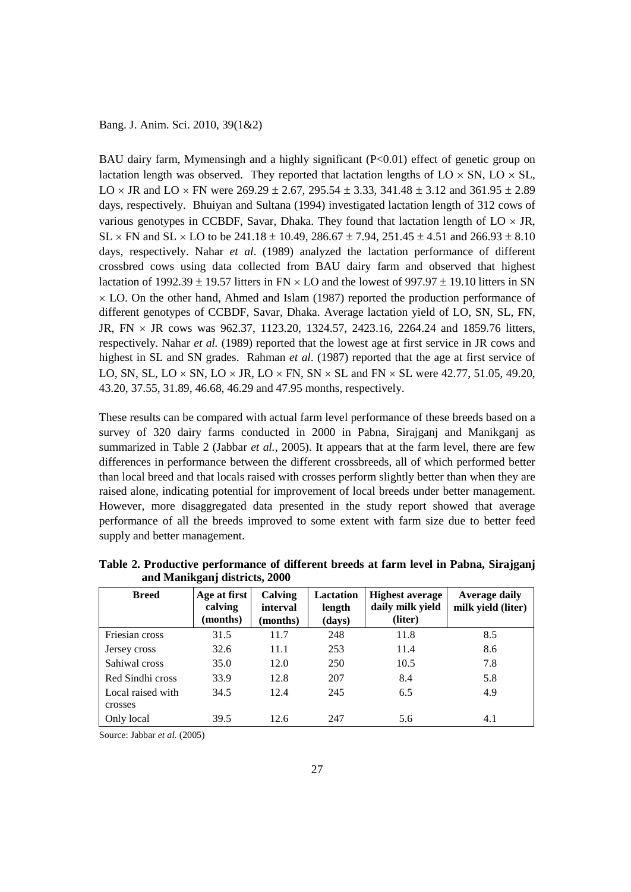BAU dairy farm, Mymensingh and a highly significant (P<0.01) effect of genetic group on lactation length was observed. They reported that lactation lengths of  $LO \times SN$ ,  $LO \times SL$ , LO  $\times$  JR and LO  $\times$  FN were 269.29  $\pm$  2.67, 295.54  $\pm$  3.33, 341.48  $\pm$  3.12 and 361.95  $\pm$  2.89 days, respectively. Bhuiyan and Sultana (1994) investigated lactation length of 312 cows of various genotypes in CCBDF, Savar, Dhaka. They found that lactation length of  $LO \times JR$ ,  $SL \times FN$  and  $SL \times LO$  to be 241.18  $\pm$  10.49, 286.67  $\pm$  7.94, 251.45  $\pm$  4.51 and 266.93  $\pm$  8.10 days, respectively. Nahar *et al*. (1989) analyzed the lactation performance of different crossbred cows using data collected from BAU dairy farm and observed that highest lactation of 1992.39  $\pm$  19.57 litters in FN  $\times$  LO and the lowest of 997.97  $\pm$  19.10 litters in SN  $\times$  LO. On the other hand, Ahmed and Islam (1987) reported the production performance of different genotypes of CCBDF, Savar, Dhaka. Average lactation yield of LO, SN, SL, FN, JR, FN × JR cows was 962.37, 1123.20, 1324.57, 2423.16, 2264.24 and 1859.76 litters, respectively. Nahar *et al.* (1989) reported that the lowest age at first service in JR cows and highest in SL and SN grades. Rahman *et al*. (1987) reported that the age at first service of LO, SN, SL, LO  $\times$  SN, LO  $\times$  JR, LO  $\times$  FN, SN  $\times$  SL and FN  $\times$  SL were 42.77, 51.05, 49.20, 43.20, 37.55, 31.89, 46.68, 46.29 and 47.95 months, respectively.

These results can be compared with actual farm level performance of these breeds based on a survey of 320 dairy farms conducted in 2000 in Pabna, Sirajganj and Manikganj as summarized in Table 2 (Jabbar *et al.*, 2005). It appears that at the farm level, there are few differences in performance between the different crossbreeds, all of which performed better than local breed and that locals raised with crosses perform slightly better than when they are raised alone, indicating potential for improvement of local breeds under better management. However, more disaggregated data presented in the study report showed that average performance of all the breeds improved to some extent with farm size due to better feed supply and better management.

| <b>Breed</b>                 | Age at first<br>calving<br>(months) | <b>Calving</b><br>interval<br>(months) | Lactation<br>length<br>(days) | Highest average<br>daily milk yield<br>(liter) | <b>Average daily</b><br>milk yield (liter) |
|------------------------------|-------------------------------------|----------------------------------------|-------------------------------|------------------------------------------------|--------------------------------------------|
| Friesian cross               | 31.5                                | 11.7                                   | 248                           | 11.8                                           | 8.5                                        |
| Jersey cross                 | 32.6                                | 11.1                                   | 253                           | 11.4                                           | 8.6                                        |
| Sahiwal cross                | 35.0                                | 12.0                                   | 250                           | 10.5                                           | 7.8                                        |
| Red Sindhi cross             | 33.9                                | 12.8                                   | 207                           | 8.4                                            | 5.8                                        |
| Local raised with<br>crosses | 34.5                                | 12.4                                   | 245                           | 6.5                                            | 4.9                                        |
| Only local                   | 39.5                                | 12.6                                   | 247                           | 5.6                                            | 4.1                                        |

**Table 2. Productive performance of different breeds at farm level in Pabna, Sirajganj and Manikganj districts, 2000** 

Source: Jabbar *et al.* (2005)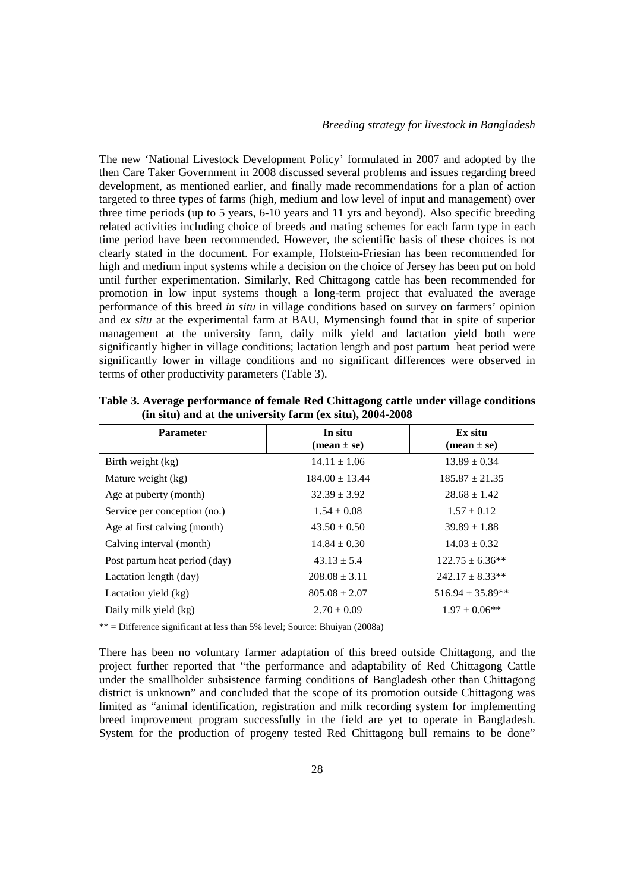The new 'National Livestock Development Policy' formulated in 2007 and adopted by the then Care Taker Government in 2008 discussed several problems and issues regarding breed development, as mentioned earlier, and finally made recommendations for a plan of action targeted to three types of farms (high, medium and low level of input and management) over three time periods (up to 5 years, 6-10 years and 11 yrs and beyond). Also specific breeding related activities including choice of breeds and mating schemes for each farm type in each time period have been recommended. However, the scientific basis of these choices is not clearly stated in the document. For example, Holstein-Friesian has been recommended for high and medium input systems while a decision on the choice of Jersey has been put on hold until further experimentation. Similarly, Red Chittagong cattle has been recommended for promotion in low input systems though a long-term project that evaluated the average performance of this breed *in situ* in village conditions based on survey on farmers' opinion and *ex situ* at the experimental farm at BAU, Mymensingh found that in spite of superior management at the university farm, daily milk yield and lactation yield both were significantly higher in village conditions; lactation length and post partum heat period were significantly lower in village conditions and no significant differences were observed in terms of other productivity parameters (Table 3).

| <b>Parameter</b>              | In situ<br>$(\text{mean} \pm \text{se})$ | Ex situ<br>$(\text{mean} \pm \text{se})$ |
|-------------------------------|------------------------------------------|------------------------------------------|
| Birth weight (kg)             | $14.11 \pm 1.06$                         | $13.89 \pm 0.34$                         |
| Mature weight (kg)            | $184.00 \pm 13.44$                       | $185.87 \pm 21.35$                       |
| Age at puberty (month)        | $32.39 \pm 3.92$                         | $28.68 \pm 1.42$                         |
| Service per conception (no.)  | $1.54 \pm 0.08$                          | $1.57 \pm 0.12$                          |
| Age at first calving (month)  | $43.50 \pm 0.50$                         | $39.89 \pm 1.88$                         |
| Calving interval (month)      | $14.84 \pm 0.30$                         | $14.03 \pm 0.32$                         |
| Post partum heat period (day) | $43.13 \pm 5.4$                          | $122.75 \pm 6.36**$                      |
| Lactation length (day)        | $208.08 \pm 3.11$                        | $242.17 \pm 8.33**$                      |
| Lactation yield (kg)          | $805.08 \pm 2.07$                        | $516.94 \pm 35.89**$                     |
| Daily milk yield (kg)         | $2.70 \pm 0.09$                          | $1.97 \pm 0.06$ **                       |

**Table 3. Average performance of female Red Chittagong cattle under village conditions (in situ) and at the university farm (ex situ), 2004-2008** 

\*\* = Difference significant at less than 5% level; Source: Bhuiyan (2008a)

There has been no voluntary farmer adaptation of this breed outside Chittagong, and the project further reported that "the performance and adaptability of Red Chittagong Cattle under the smallholder subsistence farming conditions of Bangladesh other than Chittagong district is unknown" and concluded that the scope of its promotion outside Chittagong was limited as "animal identification, registration and milk recording system for implementing breed improvement program successfully in the field are yet to operate in Bangladesh. System for the production of progeny tested Red Chittagong bull remains to be done"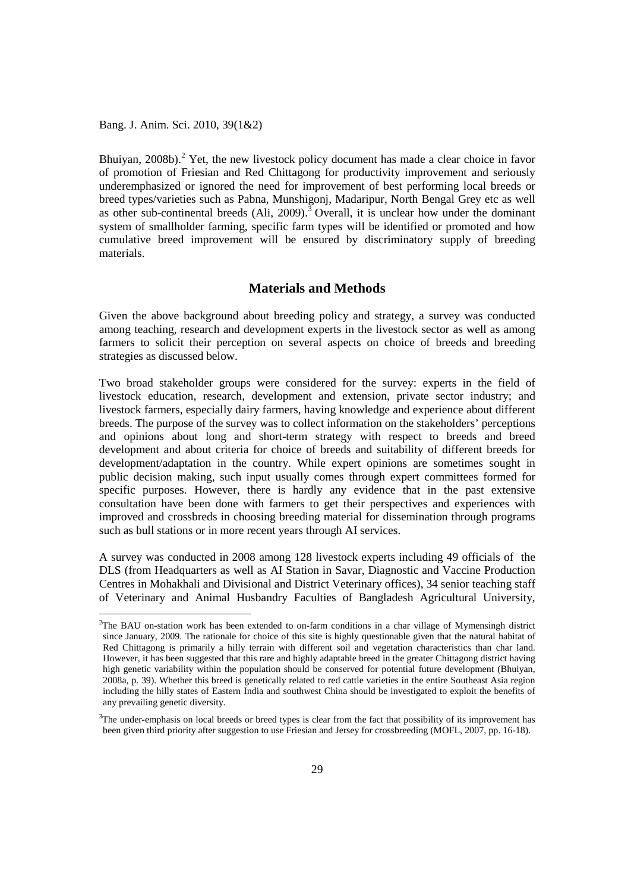Bhuiyan,  $2008b$  $2008b$ .<sup>2</sup> Yet, the new livestock policy document has made a clear choice in favor of promotion of Friesian and Red Chittagong for productivity improvement and seriously underemphasized or ignored the need for improvement of best performing local breeds or breed types/varieties such as Pabna, Munshigonj, Madaripur, North Bengal Grey etc as well as other sub-continental breeds  $(Ali, 2009)$ .<sup>[3](#page-9-0)</sup> Overall, it is unclear how under the dominant system of smallholder farming, specific farm types will be identified or promoted and how cumulative breed improvement will be ensured by discriminatory supply of breeding materials.

## **Materials and Methods**

Given the above background about breeding policy and strategy, a survey was conducted among teaching, research and development experts in the livestock sector as well as among farmers to solicit their perception on several aspects on choice of breeds and breeding strategies as discussed below.

Two broad stakeholder groups were considered for the survey: experts in the field of livestock education, research, development and extension, private sector industry; and livestock farmers, especially dairy farmers, having knowledge and experience about different breeds. The purpose of the survey was to collect information on the stakeholders' perceptions and opinions about long and short-term strategy with respect to breeds and breed development and about criteria for choice of breeds and suitability of different breeds for development/adaptation in the country. While expert opinions are sometimes sought in public decision making, such input usually comes through expert committees formed for specific purposes. However, there is hardly any evidence that in the past extensive consultation have been done with farmers to get their perspectives and experiences with improved and crossbreds in choosing breeding material for dissemination through programs such as bull stations or in more recent years through AI services.

A survey was conducted in 2008 among 128 livestock experts including 49 officials of the DLS (from Headquarters as well as AI Station in Savar, Diagnostic and Vaccine Production Centres in Mohakhali and Divisional and District Veterinary offices), 34 senior teaching staff of Veterinary and Animal Husbandry Faculties of Bangladesh Agricultural University,

<span id="page-9-0"></span> $\frac{1}{2}$ <sup>2</sup>The BAU on-station work has been extended to on-farm conditions in a char village of Mymensingh district since January, 2009. The rationale for choice of this site is highly questionable given that the natural habitat of Red Chittagong is primarily a hilly terrain with different soil and vegetation characteristics than char land. However, it has been suggested that this rare and highly adaptable breed in the greater Chittagong district having high genetic variability within the population should be conserved for potential future development (Bhuiyan, 2008a, p. 39). Whether this breed is genetically related to red cattle varieties in the entire Southeast Asia region including the hilly states of Eastern India and southwest China should be investigated to exploit the benefits of any prevailing genetic diversity.

<sup>&</sup>lt;sup>3</sup>The under-emphasis on local breeds or breed types is clear from the fact that possibility of its improvement has been given third priority after suggestion to use Friesian and Jersey for crossbreeding (MOFL, 2007, pp. 16-18).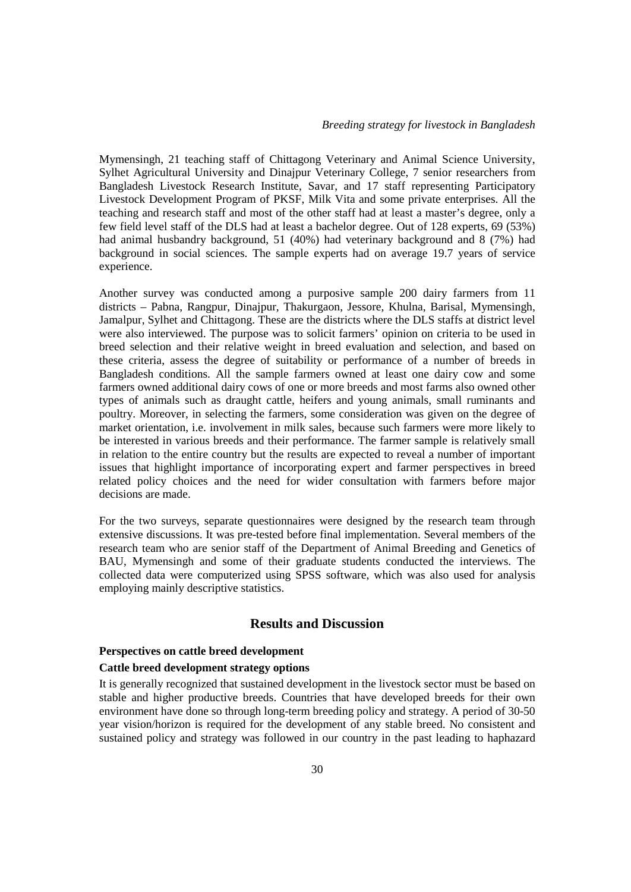Mymensingh, 21 teaching staff of Chittagong Veterinary and Animal Science University, Sylhet Agricultural University and Dinajpur Veterinary College, 7 senior researchers from Bangladesh Livestock Research Institute, Savar, and 17 staff representing Participatory Livestock Development Program of PKSF, Milk Vita and some private enterprises. All the teaching and research staff and most of the other staff had at least a master's degree, only a few field level staff of the DLS had at least a bachelor degree. Out of 128 experts, 69 (53%) had animal husbandry background, 51 (40%) had veterinary background and 8 (7%) had background in social sciences. The sample experts had on average 19.7 years of service experience.

Another survey was conducted among a purposive sample 200 dairy farmers from 11 districts – Pabna, Rangpur, Dinajpur, Thakurgaon, Jessore, Khulna, Barisal, Mymensingh, Jamalpur, Sylhet and Chittagong. These are the districts where the DLS staffs at district level were also interviewed. The purpose was to solicit farmers' opinion on criteria to be used in breed selection and their relative weight in breed evaluation and selection, and based on these criteria, assess the degree of suitability or performance of a number of breeds in Bangladesh conditions. All the sample farmers owned at least one dairy cow and some farmers owned additional dairy cows of one or more breeds and most farms also owned other types of animals such as draught cattle, heifers and young animals, small ruminants and poultry. Moreover, in selecting the farmers, some consideration was given on the degree of market orientation, i.e. involvement in milk sales, because such farmers were more likely to be interested in various breeds and their performance. The farmer sample is relatively small in relation to the entire country but the results are expected to reveal a number of important issues that highlight importance of incorporating expert and farmer perspectives in breed related policy choices and the need for wider consultation with farmers before major decisions are made.

For the two surveys, separate questionnaires were designed by the research team through extensive discussions. It was pre-tested before final implementation. Several members of the research team who are senior staff of the Department of Animal Breeding and Genetics of BAU, Mymensingh and some of their graduate students conducted the interviews. The collected data were computerized using SPSS software, which was also used for analysis employing mainly descriptive statistics.

# **Results and Discussion**

### **Perspectives on cattle breed development**

### **Cattle breed development strategy options**

It is generally recognized that sustained development in the livestock sector must be based on stable and higher productive breeds. Countries that have developed breeds for their own environment have done so through long-term breeding policy and strategy. A period of 30-50 year vision/horizon is required for the development of any stable breed. No consistent and sustained policy and strategy was followed in our country in the past leading to haphazard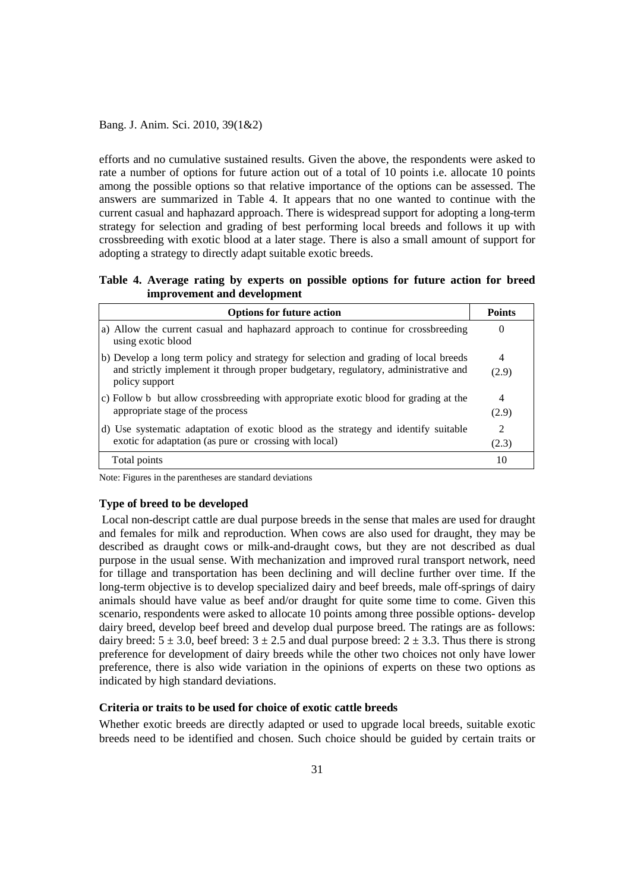efforts and no cumulative sustained results. Given the above, the respondents were asked to rate a number of options for future action out of a total of 10 points i.e. allocate 10 points among the possible options so that relative importance of the options can be assessed. The answers are summarized in Table 4. It appears that no one wanted to continue with the current casual and haphazard approach. There is widespread support for adopting a long-term strategy for selection and grading of best performing local breeds and follows it up with crossbreeding with exotic blood at a later stage. There is also a small amount of support for adopting a strategy to directly adapt suitable exotic breeds.

**Table 4. Average rating by experts on possible options for future action for breed improvement and development** 

| <b>Options for future action</b>                                                                        | <b>Points</b>               |
|---------------------------------------------------------------------------------------------------------|-----------------------------|
| (a) Allow the current casual and haphazard approach to continue for crossbreeding<br>using exotic blood | $\theta$                    |
| (b) Develop a long term policy and strategy for selection and grading of local breeds                   | 4                           |
| and strictly implement it through proper budgetary, regulatory, administrative and<br>policy support    | (2.9)                       |
| c) Follow b but allow crossbreeding with appropriate exotic blood for grading at the                    | 4                           |
| appropriate stage of the process                                                                        | (2.9)                       |
| (d) Use systematic adaptation of exotic blood as the strategy and identify suitable                     | $\mathcal{D}_{\mathcal{L}}$ |
| exotic for adaptation (as pure or crossing with local)                                                  | (2.3)                       |
| Total points                                                                                            | 10                          |

Note: Figures in the parentheses are standard deviations

### **Type of breed to be developed**

Local non-descript cattle are dual purpose breeds in the sense that males are used for draught and females for milk and reproduction. When cows are also used for draught, they may be described as draught cows or milk-and-draught cows, but they are not described as dual purpose in the usual sense. With mechanization and improved rural transport network, need for tillage and transportation has been declining and will decline further over time. If the long-term objective is to develop specialized dairy and beef breeds, male off-springs of dairy animals should have value as beef and/or draught for quite some time to come. Given this scenario, respondents were asked to allocate 10 points among three possible options- develop dairy breed, develop beef breed and develop dual purpose breed. The ratings are as follows: dairy breed:  $5 \pm 3.0$ , beef breed:  $3 \pm 2.5$  and dual purpose breed:  $2 \pm 3.3$ . Thus there is strong preference for development of dairy breeds while the other two choices not only have lower preference, there is also wide variation in the opinions of experts on these two options as indicated by high standard deviations.

## **Criteria or traits to be used for choice of exotic cattle breeds**

Whether exotic breeds are directly adapted or used to upgrade local breeds, suitable exotic breeds need to be identified and chosen. Such choice should be guided by certain traits or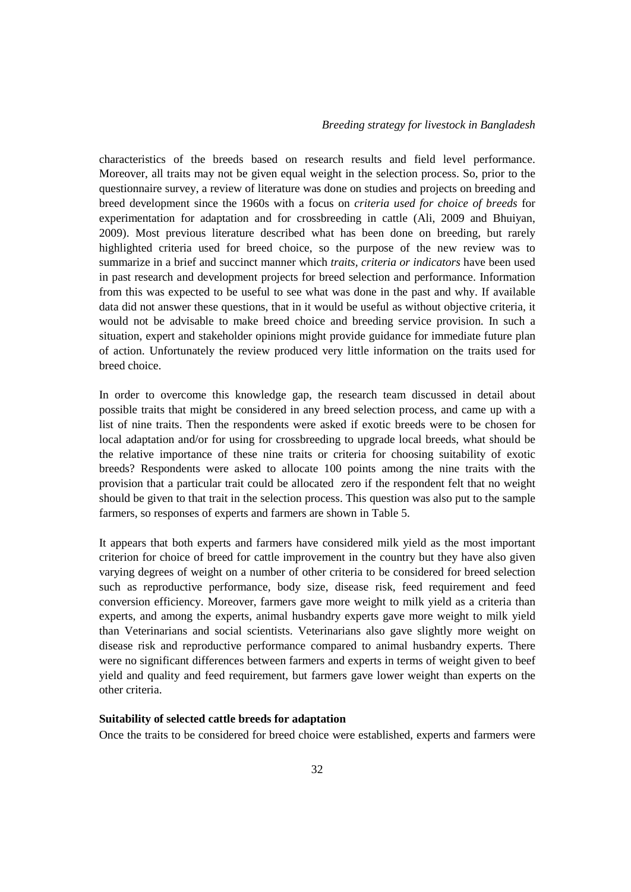characteristics of the breeds based on research results and field level performance. Moreover, all traits may not be given equal weight in the selection process. So, prior to the questionnaire survey, a review of literature was done on studies and projects on breeding and breed development since the 1960s with a focus on *criteria used for choice of breeds* for experimentation for adaptation and for crossbreeding in cattle (Ali, 2009 and Bhuiyan, 2009). Most previous literature described what has been done on breeding, but rarely highlighted criteria used for breed choice, so the purpose of the new review was to summarize in a brief and succinct manner which *traits, criteria or indicators* have been used in past research and development projects for breed selection and performance. Information from this was expected to be useful to see what was done in the past and why. If available data did not answer these questions, that in it would be useful as without objective criteria, it would not be advisable to make breed choice and breeding service provision. In such a situation, expert and stakeholder opinions might provide guidance for immediate future plan of action. Unfortunately the review produced very little information on the traits used for breed choice.

In order to overcome this knowledge gap, the research team discussed in detail about possible traits that might be considered in any breed selection process, and came up with a list of nine traits. Then the respondents were asked if exotic breeds were to be chosen for local adaptation and/or for using for crossbreeding to upgrade local breeds, what should be the relative importance of these nine traits or criteria for choosing suitability of exotic breeds? Respondents were asked to allocate 100 points among the nine traits with the provision that a particular trait could be allocated zero if the respondent felt that no weight should be given to that trait in the selection process. This question was also put to the sample farmers, so responses of experts and farmers are shown in Table 5.

It appears that both experts and farmers have considered milk yield as the most important criterion for choice of breed for cattle improvement in the country but they have also given varying degrees of weight on a number of other criteria to be considered for breed selection such as reproductive performance, body size, disease risk, feed requirement and feed conversion efficiency. Moreover, farmers gave more weight to milk yield as a criteria than experts, and among the experts, animal husbandry experts gave more weight to milk yield than Veterinarians and social scientists. Veterinarians also gave slightly more weight on disease risk and reproductive performance compared to animal husbandry experts. There were no significant differences between farmers and experts in terms of weight given to beef yield and quality and feed requirement, but farmers gave lower weight than experts on the other criteria.

### **Suitability of selected cattle breeds for adaptation**

Once the traits to be considered for breed choice were established, experts and farmers were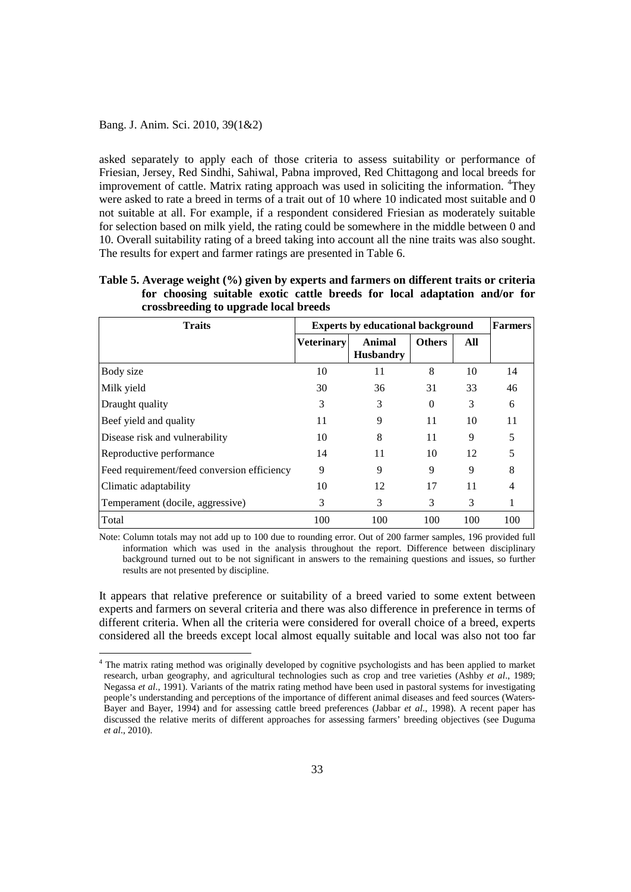asked separately to apply each of those criteria to assess suitability or performance of Friesian, Jersey, Red Sindhi, Sahiwal, Pabna improved, Red Chittagong and local breeds for improvement of cattle. Matrix rating approach was used in soliciting the information. <sup>[4](#page-13-0)</sup>They were asked to rate a breed in terms of a trait out of 10 where 10 indicated most suitable and 0 not suitable at all. For example, if a respondent considered Friesian as moderately suitable for selection based on milk yield, the rating could be somewhere in the middle between 0 and 10. Overall suitability rating of a breed taking into account all the nine traits was also sought. The results for expert and farmer ratings are presented in Table 6.

**Table 5. Average weight (%) given by experts and farmers on different traits or criteria for choosing suitable exotic cattle breeds for local adaptation and/or for crossbreeding to upgrade local breeds** 

| <b>Traits</b>                               | <b>Experts by educational background</b> | <b>Farmers</b>             |               |     |     |
|---------------------------------------------|------------------------------------------|----------------------------|---------------|-----|-----|
|                                             | <b>Veterinary</b>                        | Animal<br><b>Husbandry</b> | <b>Others</b> | All |     |
| Body size                                   | 10                                       | 11                         | 8             | 10  | 14  |
| Milk yield                                  | 30                                       | 36                         | 31            | 33  | 46  |
| Draught quality                             | 3                                        | 3                          | $\theta$      | 3   | 6   |
| Beef yield and quality                      | 11                                       | 9                          | 11            | 10  | 11  |
| Disease risk and vulnerability              | 10                                       | 8                          | 11            | 9   |     |
| Reproductive performance                    | 14                                       | 11                         | 10            | 12  |     |
| Feed requirement/feed conversion efficiency | 9                                        | 9                          | 9             | 9   | 8   |
| Climatic adaptability                       | 10                                       | 12                         | 17            | 11  |     |
| Temperament (docile, aggressive)            | 3                                        | 3                          | 3             | 3   |     |
| Total                                       | 100                                      | 100                        | 100           | 100 | 100 |

Note: Column totals may not add up to 100 due to rounding error. Out of 200 farmer samples, 196 provided full information which was used in the analysis throughout the report. Difference between disciplinary background turned out to be not significant in answers to the remaining questions and issues, so further results are not presented by discipline.

It appears that relative preference or suitability of a breed varied to some extent between experts and farmers on several criteria and there was also difference in preference in terms of different criteria. When all the criteria were considered for overall choice of a breed, experts considered all the breeds except local almost equally suitable and local was also not too far

<span id="page-13-0"></span><sup>&</sup>lt;sup>4</sup> The matrix rating method was originally developed by cognitive psychologists and has been applied to market research, urban geography, and agricultural technologies such as crop and tree varieties (Ashby *et al*., 1989; Negassa *et al*., 1991). Variants of the matrix rating method have been used in pastoral systems for investigating people's understanding and perceptions of the importance of different animal diseases and feed sources (Waters-Bayer and Bayer, 1994) and for assessing cattle breed preferences (Jabbar *et al*., 1998). A recent paper has discussed the relative merits of different approaches for assessing farmers' breeding objectives (see Duguma *et al*., 2010).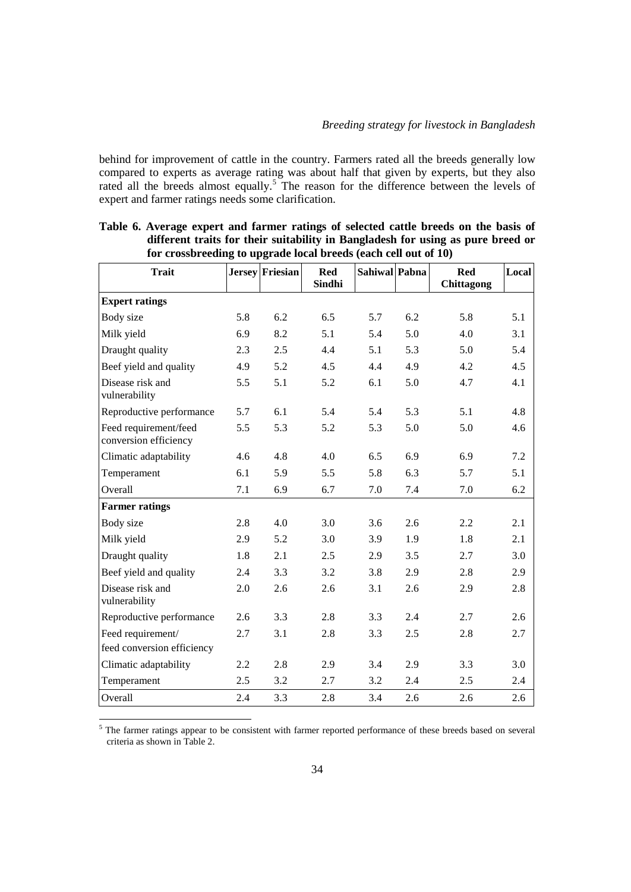behind for improvement of cattle in the country. Farmers rated all the breeds generally low compared to experts as average rating was about half that given by experts, but they also rated all the breeds almost equally.<sup>[5](#page-14-0)</sup> The reason for the difference between the levels of expert and farmer ratings needs some clarification.

| <b>Trait</b>                                   |     | Jersey Friesian | <b>Red</b><br>Sindhi | Sahiwal Pabna |     | <b>Red</b> | Local |
|------------------------------------------------|-----|-----------------|----------------------|---------------|-----|------------|-------|
|                                                |     |                 |                      |               |     | Chittagong |       |
| <b>Expert ratings</b>                          |     |                 |                      |               |     |            |       |
| Body size                                      | 5.8 | 6.2             | 6.5                  | 5.7           | 6.2 | 5.8        | 5.1   |
| Milk yield                                     | 6.9 | 8.2             | 5.1                  | 5.4           | 5.0 | 4.0        | 3.1   |
| Draught quality                                | 2.3 | 2.5             | 4.4                  | 5.1           | 5.3 | 5.0        | 5.4   |
| Beef yield and quality                         | 4.9 | 5.2             | 4.5                  | 4.4           | 4.9 | 4.2        | 4.5   |
| Disease risk and<br>vulnerability              | 5.5 | 5.1             | 5.2                  | 6.1           | 5.0 | 4.7        | 4.1   |
| Reproductive performance                       | 5.7 | 6.1             | 5.4                  | 5.4           | 5.3 | 5.1        | 4.8   |
| Feed requirement/feed<br>conversion efficiency | 5.5 | 5.3             | 5.2                  | 5.3           | 5.0 | 5.0        | 4.6   |
| Climatic adaptability                          | 4.6 | 4.8             | 4.0                  | 6.5           | 6.9 | 6.9        | 7.2   |
| Temperament                                    | 6.1 | 5.9             | 5.5                  | 5.8           | 6.3 | 5.7        | 5.1   |
| Overall                                        | 7.1 | 6.9             | 6.7                  | 7.0           | 7.4 | 7.0        | 6.2   |
| <b>Farmer ratings</b>                          |     |                 |                      |               |     |            |       |
| Body size                                      | 2.8 | 4.0             | 3.0                  | 3.6           | 2.6 | 2.2        | 2.1   |
| Milk yield                                     | 2.9 | 5.2             | 3.0                  | 3.9           | 1.9 | 1.8        | 2.1   |
| Draught quality                                | 1.8 | 2.1             | 2.5                  | 2.9           | 3.5 | 2.7        | 3.0   |
| Beef yield and quality                         | 2.4 | 3.3             | 3.2                  | 3.8           | 2.9 | 2.8        | 2.9   |
| Disease risk and<br>vulnerability              | 2.0 | 2.6             | 2.6                  | 3.1           | 2.6 | 2.9        | 2.8   |
| Reproductive performance                       | 2.6 | 3.3             | 2.8                  | 3.3           | 2.4 | 2.7        | 2.6   |
| Feed requirement/                              | 2.7 | 3.1             | 2.8                  | 3.3           | 2.5 | 2.8        | 2.7   |
| feed conversion efficiency                     |     |                 |                      |               |     |            |       |
| Climatic adaptability                          | 2.2 | 2.8             | 2.9                  | 3.4           | 2.9 | 3.3        | 3.0   |
| Temperament                                    | 2.5 | 3.2             | 2.7                  | 3.2           | 2.4 | 2.5        | 2.4   |
| Overall                                        | 2.4 | 3.3             | 2.8                  | 3.4           | 2.6 | 2.6        | 2.6   |

**Table 6. Average expert and farmer ratings of selected cattle breeds on the basis of different traits for their suitability in Bangladesh for using as pure breed or for crossbreeding to upgrade local breeds (each cell out of 10)** 

<span id="page-14-0"></span><sup>5</sup> The farmer ratings appear to be consistent with farmer reported performance of these breeds based on several criteria as shown in Table 2.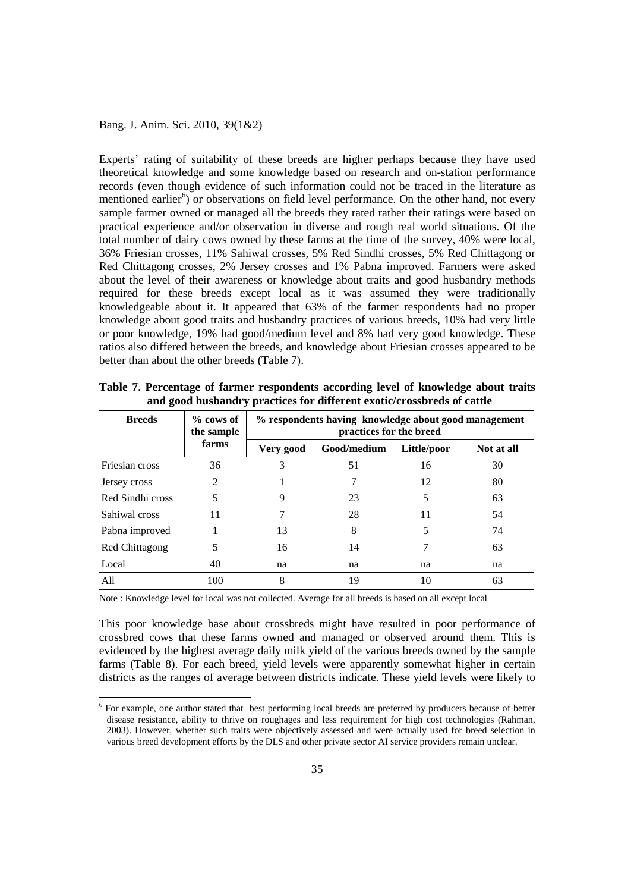Experts' rating of suitability of these breeds are higher perhaps because they have used theoretical knowledge and some knowledge based on research and on-station performance records (even though evidence of such information could not be traced in the literature as mentioned earlier<sup>[6](#page-15-0)</sup>) or observations on field level performance. On the other hand, not every sample farmer owned or managed all the breeds they rated rather their ratings were based on practical experience and/or observation in diverse and rough real world situations. Of the total number of dairy cows owned by these farms at the time of the survey, 40% were local, 36% Friesian crosses, 11% Sahiwal crosses, 5% Red Sindhi crosses, 5% Red Chittagong or Red Chittagong crosses, 2% Jersey crosses and 1% Pabna improved. Farmers were asked about the level of their awareness or knowledge about traits and good husbandry methods required for these breeds except local as it was assumed they were traditionally knowledgeable about it. It appeared that 63% of the farmer respondents had no proper knowledge about good traits and husbandry practices of various breeds, 10% had very little or poor knowledge, 19% had good/medium level and 8% had very good knowledge. These ratios also differed between the breeds, and knowledge about Friesian crosses appeared to be better than about the other breeds (Table 7).

| <b>Breeds</b>    | $%$ cows of<br>the sample | % respondents having knowledge about good management<br>practices for the breed |             |             |            |
|------------------|---------------------------|---------------------------------------------------------------------------------|-------------|-------------|------------|
|                  | farms                     | Very good                                                                       | Good/medium | Little/poor | Not at all |
| Friesian cross   | 36                        | 3                                                                               | 51          | 16          | 30         |
| Jersey cross     | 2                         |                                                                                 |             | 12          | 80         |
| Red Sindhi cross | 5                         |                                                                                 | 23          | 5           | 63         |
| Sahiwal cross    | 11                        |                                                                                 | 28          | 11          | 54         |
| Pabna improved   |                           | 13                                                                              | 8           | 5           | 74         |
| Red Chittagong   | 5                         | 16                                                                              | 14          | 7           | 63         |
| Local            | 40                        | na                                                                              | na          | na          | na         |
| All              | 100                       | 8                                                                               | 19          | 10          | 63         |

**Table 7. Percentage of farmer respondents according level of knowledge about traits and good husbandry practices for different exotic/crossbreds of cattle** 

Note : Knowledge level for local was not collected. Average for all breeds is based on all except local

This poor knowledge base about crossbreds might have resulted in poor performance of crossbred cows that these farms owned and managed or observed around them. This is evidenced by the highest average daily milk yield of the various breeds owned by the sample farms (Table 8). For each breed, yield levels were apparently somewhat higher in certain districts as the ranges of average between districts indicate. These yield levels were likely to

<span id="page-15-0"></span> <sup>6</sup> For example, one author stated that best performing local breeds are preferred by producers because of better disease resistance, ability to thrive on roughages and less requirement for high cost technologies (Rahman, 2003). However, whether such traits were objectively assessed and were actually used for breed selection in various breed development efforts by the DLS and other private sector AI service providers remain unclear.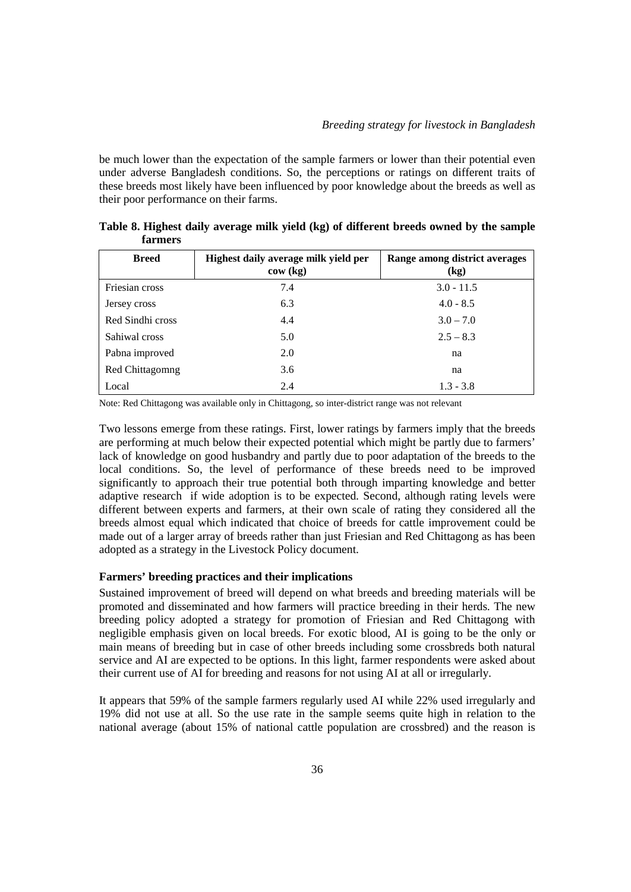be much lower than the expectation of the sample farmers or lower than their potential even under adverse Bangladesh conditions. So, the perceptions or ratings on different traits of these breeds most likely have been influenced by poor knowledge about the breeds as well as their poor performance on their farms.

| <b>Breed</b>     | Highest daily average milk yield per<br>cov(kg) | Range among district averages<br>(kg) |
|------------------|-------------------------------------------------|---------------------------------------|
| Friesian cross   | 7.4                                             | $3.0 - 11.5$                          |
| Jersey cross     | 6.3                                             | $4.0 - 8.5$                           |
| Red Sindhi cross | 4.4                                             | $3.0 - 7.0$                           |
| Sahiwal cross    | 5.0                                             | $2.5 - 8.3$                           |
| Pabna improved   | 2.0                                             | na                                    |
| Red Chittagomng  | 3.6                                             | na                                    |
| Local            | 2.4                                             | $1.3 - 3.8$                           |

**Table 8. Highest daily average milk yield (kg) of different breeds owned by the sample farmers** 

Note: Red Chittagong was available only in Chittagong, so inter-district range was not relevant

Two lessons emerge from these ratings. First, lower ratings by farmers imply that the breeds are performing at much below their expected potential which might be partly due to farmers' lack of knowledge on good husbandry and partly due to poor adaptation of the breeds to the local conditions. So, the level of performance of these breeds need to be improved significantly to approach their true potential both through imparting knowledge and better adaptive research if wide adoption is to be expected. Second, although rating levels were different between experts and farmers, at their own scale of rating they considered all the breeds almost equal which indicated that choice of breeds for cattle improvement could be made out of a larger array of breeds rather than just Friesian and Red Chittagong as has been adopted as a strategy in the Livestock Policy document.

### **Farmers' breeding practices and their implications**

Sustained improvement of breed will depend on what breeds and breeding materials will be promoted and disseminated and how farmers will practice breeding in their herds. The new breeding policy adopted a strategy for promotion of Friesian and Red Chittagong with negligible emphasis given on local breeds. For exotic blood, AI is going to be the only or main means of breeding but in case of other breeds including some crossbreds both natural service and AI are expected to be options. In this light, farmer respondents were asked about their current use of AI for breeding and reasons for not using AI at all or irregularly.

It appears that 59% of the sample farmers regularly used AI while 22% used irregularly and 19% did not use at all. So the use rate in the sample seems quite high in relation to the national average (about 15% of national cattle population are crossbred) and the reason is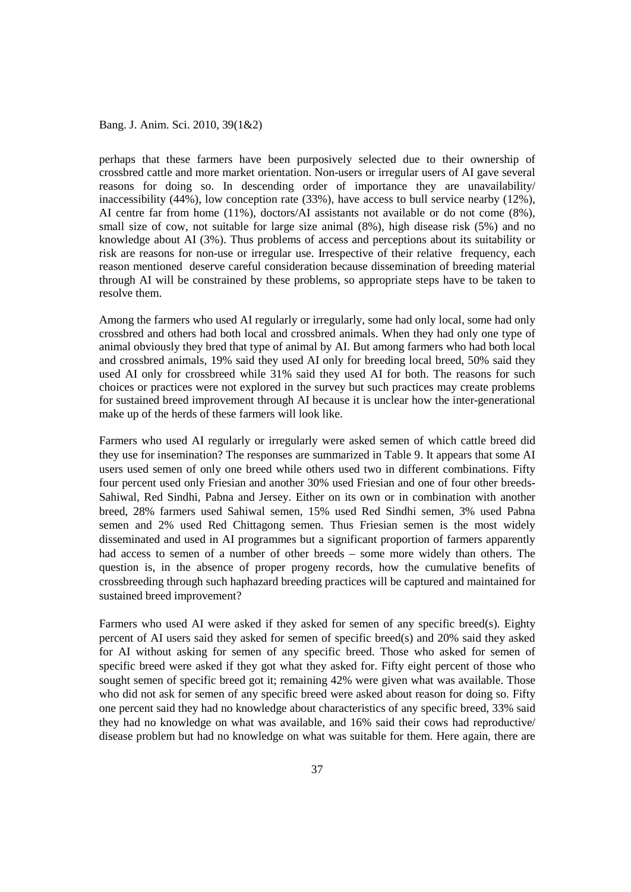perhaps that these farmers have been purposively selected due to their ownership of crossbred cattle and more market orientation. Non-users or irregular users of AI gave several reasons for doing so. In descending order of importance they are unavailability/ inaccessibility (44%), low conception rate (33%), have access to bull service nearby (12%), AI centre far from home (11%), doctors/AI assistants not available or do not come (8%), small size of cow, not suitable for large size animal (8%), high disease risk (5%) and no knowledge about AI (3%). Thus problems of access and perceptions about its suitability or risk are reasons for non-use or irregular use. Irrespective of their relative frequency, each reason mentioned deserve careful consideration because dissemination of breeding material through AI will be constrained by these problems, so appropriate steps have to be taken to resolve them.

Among the farmers who used AI regularly or irregularly, some had only local, some had only crossbred and others had both local and crossbred animals. When they had only one type of animal obviously they bred that type of animal by AI. But among farmers who had both local and crossbred animals, 19% said they used AI only for breeding local breed, 50% said they used AI only for crossbreed while 31% said they used AI for both. The reasons for such choices or practices were not explored in the survey but such practices may create problems for sustained breed improvement through AI because it is unclear how the inter-generational make up of the herds of these farmers will look like.

Farmers who used AI regularly or irregularly were asked semen of which cattle breed did they use for insemination? The responses are summarized in Table 9. It appears that some AI users used semen of only one breed while others used two in different combinations. Fifty four percent used only Friesian and another 30% used Friesian and one of four other breeds-Sahiwal, Red Sindhi, Pabna and Jersey. Either on its own or in combination with another breed, 28% farmers used Sahiwal semen, 15% used Red Sindhi semen, 3% used Pabna semen and 2% used Red Chittagong semen. Thus Friesian semen is the most widely disseminated and used in AI programmes but a significant proportion of farmers apparently had access to semen of a number of other breeds – some more widely than others. The question is, in the absence of proper progeny records, how the cumulative benefits of crossbreeding through such haphazard breeding practices will be captured and maintained for sustained breed improvement?

Farmers who used AI were asked if they asked for semen of any specific breed(s). Eighty percent of AI users said they asked for semen of specific breed(s) and 20% said they asked for AI without asking for semen of any specific breed. Those who asked for semen of specific breed were asked if they got what they asked for. Fifty eight percent of those who sought semen of specific breed got it; remaining 42% were given what was available. Those who did not ask for semen of any specific breed were asked about reason for doing so. Fifty one percent said they had no knowledge about characteristics of any specific breed, 33% said they had no knowledge on what was available, and 16% said their cows had reproductive/ disease problem but had no knowledge on what was suitable for them. Here again, there are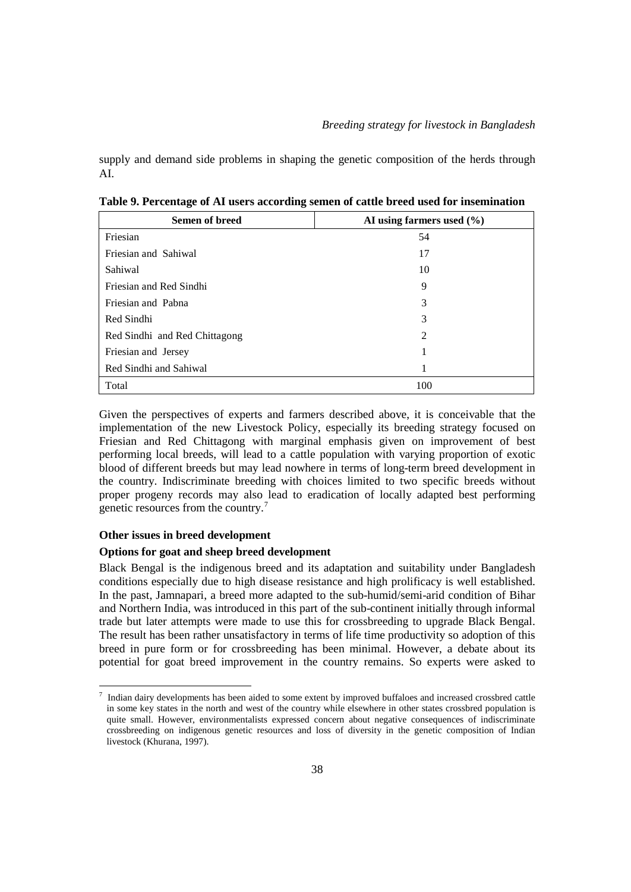supply and demand side problems in shaping the genetic composition of the herds through AI.

| <b>Semen of breed</b>         | AI using farmers used $(\% )$ |
|-------------------------------|-------------------------------|
| Friesian                      | 54                            |
| Friesian and Sahiwal          | 17                            |
| Sahiwal                       | 10                            |
| Friesian and Red Sindhi       | 9                             |
| Friesian and Pabna            | 3                             |
| Red Sindhi                    | 3                             |
| Red Sindhi and Red Chittagong | $\mathfrak{D}$                |
| Friesian and Jersey           |                               |
| Red Sindhi and Sahiwal        |                               |
| Total                         | 100                           |

**Table 9. Percentage of AI users according semen of cattle breed used for insemination** 

Given the perspectives of experts and farmers described above, it is conceivable that the implementation of the new Livestock Policy, especially its breeding strategy focused on Friesian and Red Chittagong with marginal emphasis given on improvement of best performing local breeds, will lead to a cattle population with varying proportion of exotic blood of different breeds but may lead nowhere in terms of long-term breed development in the country. Indiscriminate breeding with choices limited to two specific breeds without proper progeny records may also lead to eradication of locally adapted best performing genetic resources from the country.[7](#page-18-0)

### **Other issues in breed development**

### **Options for goat and sheep breed development**

Black Bengal is the indigenous breed and its adaptation and suitability under Bangladesh conditions especially due to high disease resistance and high prolificacy is well established. In the past, Jamnapari, a breed more adapted to the sub-humid/semi-arid condition of Bihar and Northern India, was introduced in this part of the sub-continent initially through informal trade but later attempts were made to use this for crossbreeding to upgrade Black Bengal. The result has been rather unsatisfactory in terms of life time productivity so adoption of this breed in pure form or for crossbreeding has been minimal. However, a debate about its potential for goat breed improvement in the country remains. So experts were asked to

<span id="page-18-0"></span><sup>-&</sup>lt;br>7 Indian dairy developments has been aided to some extent by improved buffaloes and increased crossbred cattle in some key states in the north and west of the country while elsewhere in other states crossbred population is quite small. However, environmentalists expressed concern about negative consequences of indiscriminate crossbreeding on indigenous genetic resources and loss of diversity in the genetic composition of Indian livestock (Khurana, 1997).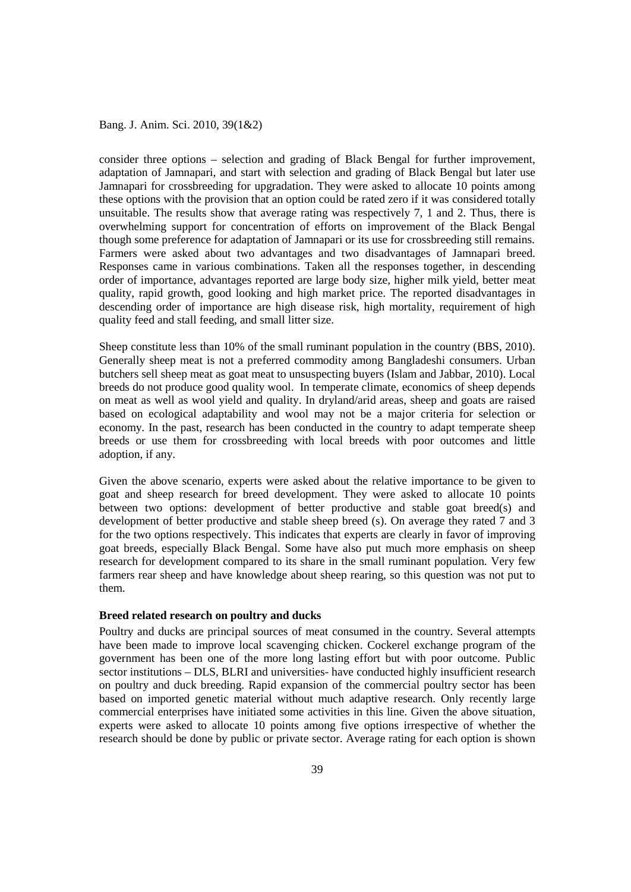consider three options – selection and grading of Black Bengal for further improvement, adaptation of Jamnapari, and start with selection and grading of Black Bengal but later use Jamnapari for crossbreeding for upgradation. They were asked to allocate 10 points among these options with the provision that an option could be rated zero if it was considered totally unsuitable. The results show that average rating was respectively 7, 1 and 2. Thus, there is overwhelming support for concentration of efforts on improvement of the Black Bengal though some preference for adaptation of Jamnapari or its use for crossbreeding still remains. Farmers were asked about two advantages and two disadvantages of Jamnapari breed. Responses came in various combinations. Taken all the responses together, in descending order of importance, advantages reported are large body size, higher milk yield, better meat quality, rapid growth, good looking and high market price. The reported disadvantages in descending order of importance are high disease risk, high mortality, requirement of high quality feed and stall feeding, and small litter size.

Sheep constitute less than 10% of the small ruminant population in the country (BBS, 2010). Generally sheep meat is not a preferred commodity among Bangladeshi consumers. Urban butchers sell sheep meat as goat meat to unsuspecting buyers (Islam and Jabbar, 2010). Local breeds do not produce good quality wool. In temperate climate, economics of sheep depends on meat as well as wool yield and quality. In dryland/arid areas, sheep and goats are raised based on ecological adaptability and wool may not be a major criteria for selection or economy. In the past, research has been conducted in the country to adapt temperate sheep breeds or use them for crossbreeding with local breeds with poor outcomes and little adoption, if any.

Given the above scenario, experts were asked about the relative importance to be given to goat and sheep research for breed development. They were asked to allocate 10 points between two options: development of better productive and stable goat breed(s) and development of better productive and stable sheep breed (s). On average they rated 7 and 3 for the two options respectively. This indicates that experts are clearly in favor of improving goat breeds, especially Black Bengal. Some have also put much more emphasis on sheep research for development compared to its share in the small ruminant population. Very few farmers rear sheep and have knowledge about sheep rearing, so this question was not put to them.

### **Breed related research on poultry and ducks**

Poultry and ducks are principal sources of meat consumed in the country. Several attempts have been made to improve local scavenging chicken. Cockerel exchange program of the government has been one of the more long lasting effort but with poor outcome. Public sector institutions – DLS, BLRI and universities- have conducted highly insufficient research on poultry and duck breeding. Rapid expansion of the commercial poultry sector has been based on imported genetic material without much adaptive research. Only recently large commercial enterprises have initiated some activities in this line. Given the above situation, experts were asked to allocate 10 points among five options irrespective of whether the research should be done by public or private sector. Average rating for each option is shown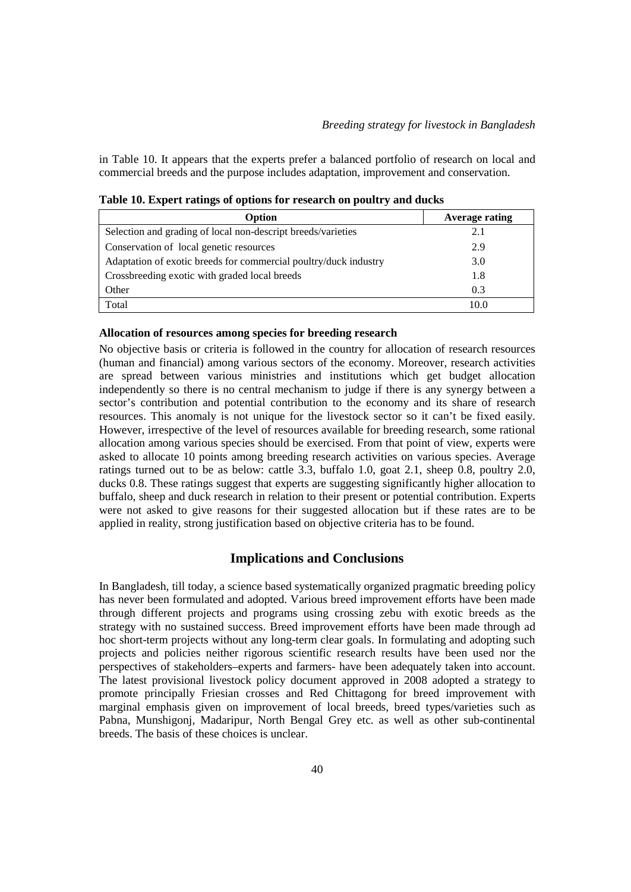in Table 10. It appears that the experts prefer a balanced portfolio of research on local and commercial breeds and the purpose includes adaptation, improvement and conservation.

| Option                                                           | <b>Average rating</b> |
|------------------------------------------------------------------|-----------------------|
| Selection and grading of local non-descript breeds/varieties     | 2.1                   |
| Conservation of local genetic resources                          | 2.9                   |
| Adaptation of exotic breeds for commercial poultry/duck industry | 3.0                   |
| Crossbreeding exotic with graded local breeds                    | 1.8                   |
| Other                                                            | 0.3                   |
| Total                                                            | 10.0                  |

**Table 10. Expert ratings of options for research on poultry and ducks** 

#### **Allocation of resources among species for breeding research**

No objective basis or criteria is followed in the country for allocation of research resources (human and financial) among various sectors of the economy. Moreover, research activities are spread between various ministries and institutions which get budget allocation independently so there is no central mechanism to judge if there is any synergy between a sector's contribution and potential contribution to the economy and its share of research resources. This anomaly is not unique for the livestock sector so it can't be fixed easily. However, irrespective of the level of resources available for breeding research, some rational allocation among various species should be exercised. From that point of view, experts were asked to allocate 10 points among breeding research activities on various species. Average ratings turned out to be as below: cattle 3.3, buffalo 1.0, goat 2.1, sheep 0.8, poultry 2.0, ducks 0.8. These ratings suggest that experts are suggesting significantly higher allocation to buffalo, sheep and duck research in relation to their present or potential contribution. Experts were not asked to give reasons for their suggested allocation but if these rates are to be applied in reality, strong justification based on objective criteria has to be found.

### **Implications and Conclusions**

In Bangladesh, till today, a science based systematically organized pragmatic breeding policy has never been formulated and adopted. Various breed improvement efforts have been made through different projects and programs using crossing zebu with exotic breeds as the strategy with no sustained success. Breed improvement efforts have been made through ad hoc short-term projects without any long-term clear goals. In formulating and adopting such projects and policies neither rigorous scientific research results have been used nor the perspectives of stakeholders–experts and farmers- have been adequately taken into account. The latest provisional livestock policy document approved in 2008 adopted a strategy to promote principally Friesian crosses and Red Chittagong for breed improvement with marginal emphasis given on improvement of local breeds, breed types/varieties such as Pabna, Munshigonj, Madaripur, North Bengal Grey etc. as well as other sub-continental breeds. The basis of these choices is unclear.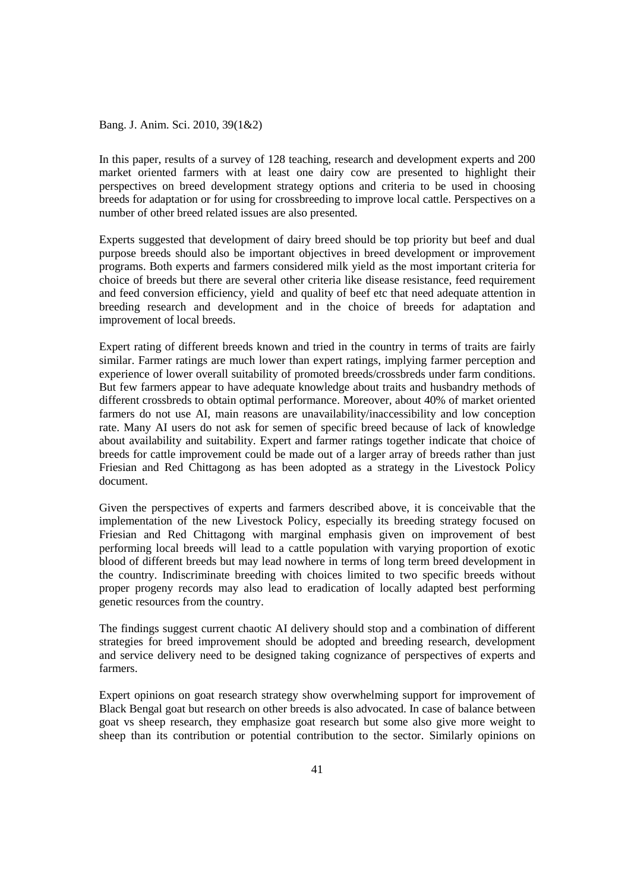In this paper, results of a survey of 128 teaching, research and development experts and 200 market oriented farmers with at least one dairy cow are presented to highlight their perspectives on breed development strategy options and criteria to be used in choosing breeds for adaptation or for using for crossbreeding to improve local cattle. Perspectives on a number of other breed related issues are also presented.

Experts suggested that development of dairy breed should be top priority but beef and dual purpose breeds should also be important objectives in breed development or improvement programs. Both experts and farmers considered milk yield as the most important criteria for choice of breeds but there are several other criteria like disease resistance, feed requirement and feed conversion efficiency, yield and quality of beef etc that need adequate attention in breeding research and development and in the choice of breeds for adaptation and improvement of local breeds.

Expert rating of different breeds known and tried in the country in terms of traits are fairly similar. Farmer ratings are much lower than expert ratings, implying farmer perception and experience of lower overall suitability of promoted breeds/crossbreds under farm conditions. But few farmers appear to have adequate knowledge about traits and husbandry methods of different crossbreds to obtain optimal performance. Moreover, about 40% of market oriented farmers do not use AI, main reasons are unavailability/inaccessibility and low conception rate. Many AI users do not ask for semen of specific breed because of lack of knowledge about availability and suitability. Expert and farmer ratings together indicate that choice of breeds for cattle improvement could be made out of a larger array of breeds rather than just Friesian and Red Chittagong as has been adopted as a strategy in the Livestock Policy document.

Given the perspectives of experts and farmers described above, it is conceivable that the implementation of the new Livestock Policy, especially its breeding strategy focused on Friesian and Red Chittagong with marginal emphasis given on improvement of best performing local breeds will lead to a cattle population with varying proportion of exotic blood of different breeds but may lead nowhere in terms of long term breed development in the country. Indiscriminate breeding with choices limited to two specific breeds without proper progeny records may also lead to eradication of locally adapted best performing genetic resources from the country.

The findings suggest current chaotic AI delivery should stop and a combination of different strategies for breed improvement should be adopted and breeding research, development and service delivery need to be designed taking cognizance of perspectives of experts and farmers.

Expert opinions on goat research strategy show overwhelming support for improvement of Black Bengal goat but research on other breeds is also advocated. In case of balance between goat vs sheep research, they emphasize goat research but some also give more weight to sheep than its contribution or potential contribution to the sector. Similarly opinions on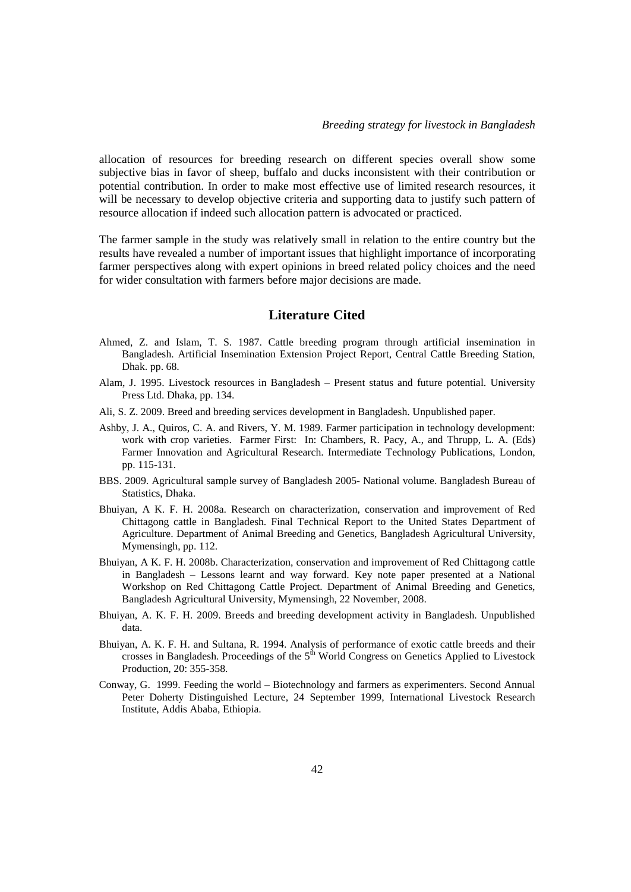allocation of resources for breeding research on different species overall show some subjective bias in favor of sheep, buffalo and ducks inconsistent with their contribution or potential contribution. In order to make most effective use of limited research resources, it will be necessary to develop objective criteria and supporting data to justify such pattern of resource allocation if indeed such allocation pattern is advocated or practiced.

The farmer sample in the study was relatively small in relation to the entire country but the results have revealed a number of important issues that highlight importance of incorporating farmer perspectives along with expert opinions in breed related policy choices and the need for wider consultation with farmers before major decisions are made.

# **Literature Cited**

- Ahmed, Z. and Islam, T. S. 1987. Cattle breeding program through artificial insemination in Bangladesh. Artificial Insemination Extension Project Report, Central Cattle Breeding Station, Dhak. pp. 68.
- Alam, J. 1995. Livestock resources in Bangladesh Present status and future potential. University Press Ltd. Dhaka, pp. 134.
- Ali, S. Z. 2009. Breed and breeding services development in Bangladesh. Unpublished paper.
- Ashby, J. A., Quiros, C. A. and Rivers, Y. M. 1989. Farmer participation in technology development: work with crop varieties. Farmer First: In: Chambers, R. Pacy, A., and Thrupp, L. A. (Eds) Farmer Innovation and Agricultural Research. Intermediate Technology Publications, London, pp. 115-131.
- BBS. 2009. Agricultural sample survey of Bangladesh 2005- National volume. Bangladesh Bureau of Statistics, Dhaka.
- Bhuiyan, A K. F. H. 2008a. Research on characterization, conservation and improvement of Red Chittagong cattle in Bangladesh. Final Technical Report to the United States Department of Agriculture. Department of Animal Breeding and Genetics, Bangladesh Agricultural University, Mymensingh, pp. 112.
- Bhuiyan, A K. F. H. 2008b. Characterization, conservation and improvement of Red Chittagong cattle in Bangladesh – Lessons learnt and way forward. Key note paper presented at a National Workshop on Red Chittagong Cattle Project. Department of Animal Breeding and Genetics, Bangladesh Agricultural University, Mymensingh, 22 November, 2008.
- Bhuiyan, A. K. F. H. 2009. Breeds and breeding development activity in Bangladesh. Unpublished data.
- Bhuiyan, A. K. F. H. and Sultana, R. 1994. Analysis of performance of exotic cattle breeds and their crosses in Bangladesh. Proceedings of the 5<sup>th</sup> World Congress on Genetics Applied to Livestock Production, 20: 355-358.
- Conway, G. 1999. Feeding the world Biotechnology and farmers as experimenters. Second Annual Peter Doherty Distinguished Lecture, 24 September 1999, International Livestock Research Institute, Addis Ababa, Ethiopia.